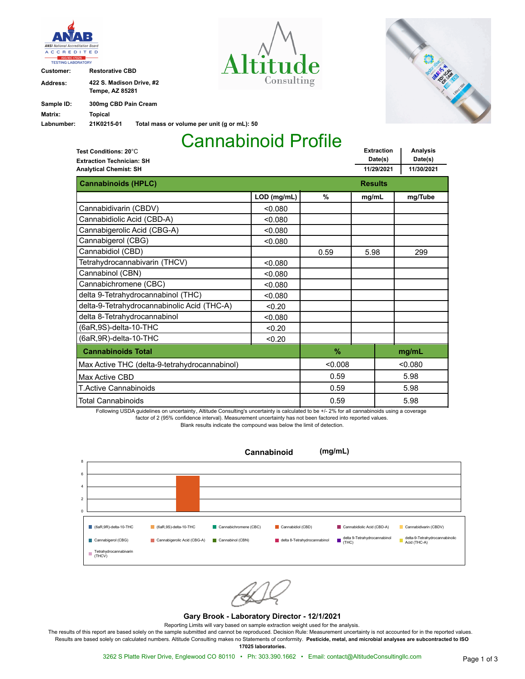

**Customer: Restorative CBD**

| <b>Address:</b> | 422 S. Madison Drive. #2 |                                             |  |  |  |
|-----------------|--------------------------|---------------------------------------------|--|--|--|
|                 | <b>Tempe, AZ 85281</b>   |                                             |  |  |  |
| Sample ID:      | 300mg CBD Pain Cream     |                                             |  |  |  |
| Matrix:         | Topical                  |                                             |  |  |  |
| Labnumber:      | 21K0215-01               | Total mass or volume per unit (g or mL): 50 |  |  |  |





**Analysis Date(s)**

**Extraction Date(s)**

# Cannabinoid Profile

**Extraction Technician: SH Test Conditions: 20**°C

| <b>Extraction Technician: SH</b>              |                | Date(2)       |            | Dale(5) |         |
|-----------------------------------------------|----------------|---------------|------------|---------|---------|
| <b>Analytical Chemist: SH</b>                 | 11/29/2021     |               | 11/30/2021 |         |         |
| <b>Cannabinoids (HPLC)</b>                    | <b>Results</b> |               |            |         |         |
|                                               | LOD (mg/mL)    | $\frac{9}{6}$ | mg/mL      |         | mg/Tube |
| Cannabidivarin (CBDV)                         | < 0.080        |               |            |         |         |
| Cannabidiolic Acid (CBD-A)                    | < 0.080        |               |            |         |         |
| Cannabigerolic Acid (CBG-A)                   | < 0.080        |               |            |         |         |
| Cannabigerol (CBG)                            | < 0.080        |               |            |         |         |
| Cannabidiol (CBD)                             |                | 0.59          | 5.98       |         | 299     |
| Tetrahydrocannabivarin (THCV)                 | < 0.080        |               |            |         |         |
| Cannabinol (CBN)                              | < 0.080        |               |            |         |         |
| Cannabichromene (CBC)                         | < 0.080        |               |            |         |         |
| delta 9-Tetrahydrocannabinol (THC)            | < 0.080        |               |            |         |         |
| delta-9-Tetrahydrocannabinolic Acid (THC-A)   | < 0.20         |               |            |         |         |
| delta 8-Tetrahydrocannabinol                  | < 0.080        |               |            |         |         |
| (6aR,9S)-delta-10-THC                         | < 0.20         |               |            |         |         |
| (6aR, 9R)-delta-10-THC                        | < 0.20         |               |            |         |         |
| <b>Cannabinoids Total</b>                     |                | $\%$          |            |         | mg/mL   |
| Max Active THC (delta-9-tetrahydrocannabinol) | < 0.008        |               |            | < 0.080 |         |
| Max Active CBD                                |                | 0.59          |            |         | 5.98    |
| <b>T.Active Cannabinoids</b>                  |                | 0.59          |            |         | 5.98    |
| <b>Total Cannabinoids</b>                     |                | 0.59          |            |         | 5.98    |

Following USDA guidelines on uncertainty, Altitude Consulting's uncertainty is calculated to be +/- 2% for all cannabinoids using a coverage factor of 2 (95% confidence interval). Measurement uncertainty has not been factored into reported values. Blank results indicate the compound was below the limit of detection.



### **Gary Brook - Laboratory Director - 12/1/2021**

Reporting Limits will vary based on sample extraction weight used for the analysis.

The results of this report are based solely on the sample submitted and cannot be reproduced. Decision Rule: Measurement uncertainty is not accounted for in the reported values. Results are based solely on calculated numbers. Altitude Consulting makes no Statements of conformity. **Pesticide, metal, and microbial analyses are subcontracted to ISO**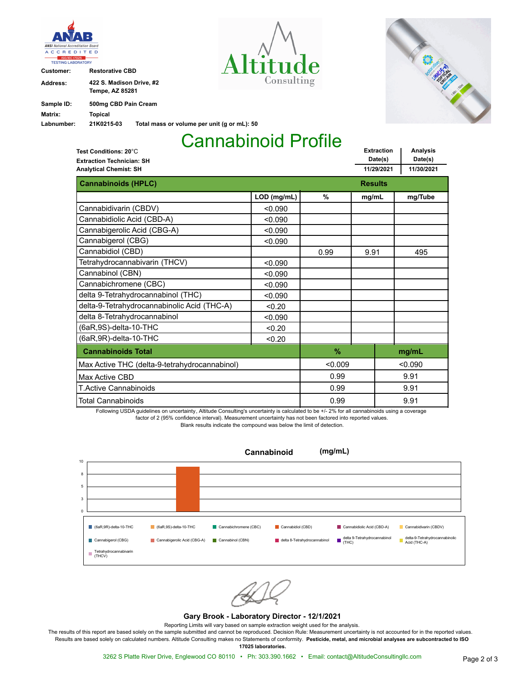

**Customer: Restorative CBD**

| Address:   | 422 S. Madison Drive. #2 |                                             |  |  |  |
|------------|--------------------------|---------------------------------------------|--|--|--|
|            | <b>Tempe, AZ 85281</b>   |                                             |  |  |  |
| Sample ID: | 500mg CBD Pain Cream     |                                             |  |  |  |
| Matrix:    | Topical                  |                                             |  |  |  |
| Labnumber: | 21K0215-03               | Total mass or volume per unit (g or mL): 50 |  |  |  |





## Cannabinoid Profile

**Extraction Date(s) Analysis Date(s) 11/29/2021 11/30/2021 Extraction Technician: SH Analytical Chemist: SH Test Conditions: 20**°C **Cannabinoids (HPLC) Results Results Results LOD (mg/mL) % mg/mL mg/Tube** Cannabidivarin (CBDV)  $\sim$  0.090 Cannabidiolic Acid (CBD-A)  $\vert$  <0.090 Cannabigerolic Acid (CBG-A)  $\sim$  0.090 Cannabigerol (CBG)  $\sim$  0.090 Cannabidiol (CBD) 0.99 9.91 495 Tetrahydrocannabivarin (THCV)  $\vert$  <0.090 Cannabinol (CBN) <0.090 Cannabichromene (CBC) <0.090 delta 9-Tetrahydrocannabinol (THC)  $\vert$  <0.090 delta-9-Tetrahydrocannabinolic Acid (THC-A) <0.20 delta 8-Tetrahydrocannabinol  $\sim$  0.090 (6aR,9S)-delta-10-THC <0.20  $(6aR, 9R)$ -delta-10-THC  $\qquad \qquad \begin{array}{c} \sim 0.20 \end{array}$ **Cannabinoids Total % mg/mL** Total Cannabinoids T.Active Cannabinoids Max Active CBD <0.009 0.99 0.99 0.99 <0.090 9.91 9.91 9.91 Max Active THC (delta-9-tetrahydrocannabinol)

Following USDA guidelines on uncertainty, Altitude Consulting's uncertainty is calculated to be +/- 2% for all cannabinoids using a coverage factor of 2 (95% confidence interval). Measurement uncertainty has not been factored into reported values. Blank results indicate the compound was below the limit of detection.



#### **Gary Brook - Laboratory Director - 12/1/2021**

Reporting Limits will vary based on sample extraction weight used for the analysis.

The results of this report are based solely on the sample submitted and cannot be reproduced. Decision Rule: Measurement uncertainty is not accounted for in the reported values. Results are based solely on calculated numbers. Altitude Consulting makes no Statements of conformity. **Pesticide, metal, and microbial analyses are subcontracted to ISO**